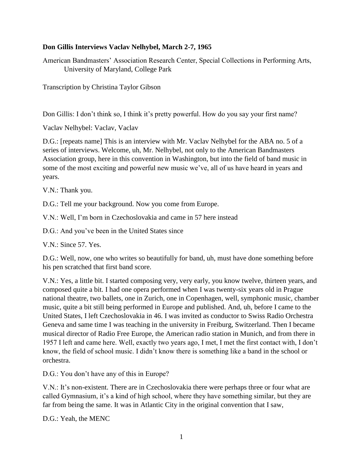#### **Don Gillis Interviews Vaclav Nelhybel, March 2-7, 1965**

American Bandmasters' Association Research Center, Special Collections in Performing Arts, University of Maryland, College Park

Transcription by Christina Taylor Gibson

Don Gillis: I don't think so, I think it's pretty powerful. How do you say your first name?

Vaclav Nelhybel: Vaclav, Vaclav

D.G.: [repeats name] This is an interview with Mr. Vaclav Nelhybel for the ABA no. 5 of a series of interviews. Welcome, uh, Mr. Nelhybel, not only to the American Bandmasters Association group, here in this convention in Washington, but into the field of band music in some of the most exciting and powerful new music we've, all of us have heard in years and years.

V.N.: Thank you.

D.G.: Tell me your background. Now you come from Europe.

V.N.: Well, I'm born in Czechoslovakia and came in 57 here instead

D.G.: And you've been in the United States since

V.N.: Since 57. Yes.

D.G.: Well, now, one who writes so beautifully for band, uh, must have done something before his pen scratched that first band score.

V.N.: Yes, a little bit. I started composing very, very early, you know twelve, thirteen years, and composed quite a bit. I had one opera performed when I was twenty-six years old in Prague national theatre, two ballets, one in Zurich, one in Copenhagen, well, symphonic music, chamber music, quite a bit still being performed in Europe and published. And, uh, before I came to the United States, I left Czechoslovakia in 46. I was invited as conductor to Swiss Radio Orchestra Geneva and same time I was teaching in the university in Freiburg, Switzerland. Then I became musical director of Radio Free Europe, the American radio station in Munich, and from there in 1957 I left and came here. Well, exactly two years ago, I met, I met the first contact with, I don't know, the field of school music. I didn't know there is something like a band in the school or orchestra.

D.G.: You don't have any of this in Europe?

V.N.: It's non-existent. There are in Czechoslovakia there were perhaps three or four what are called Gymnasium, it's a kind of high school, where they have something similar, but they are far from being the same. It was in Atlantic City in the original convention that I saw,

D.G.: Yeah, the MENC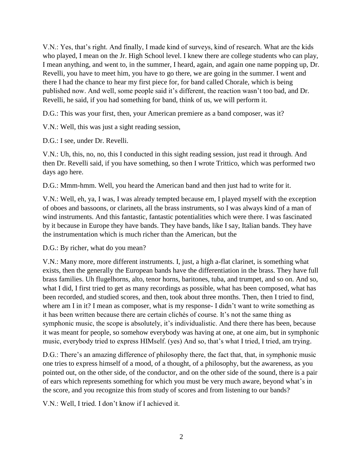V.N.: Yes, that's right. And finally, I made kind of surveys, kind of research. What are the kids who played, I mean on the Jr. High School level. I knew there are college students who can play, I mean anything, and went to, in the summer, I heard, again, and again one name popping up, Dr. Revelli, you have to meet him, you have to go there, we are going in the summer. I went and there I had the chance to hear my first piece for, for band called Chorale, which is being published now. And well, some people said it's different, the reaction wasn't too bad, and Dr. Revelli, he said, if you had something for band, think of us, we will perform it.

D.G.: This was your first, then, your American premiere as a band composer, was it?

V.N.: Well, this was just a sight reading session,

D.G.: I see, under Dr. Revelli.

V.N.: Uh, this, no, no, this I conducted in this sight reading session, just read it through. And then Dr. Revelli said, if you have something, so then I wrote Trittico, which was performed two days ago here.

D.G.: Mmm-hmm. Well, you heard the American band and then just had to write for it.

V.N.: Well, eh, ya, I was, I was already tempted because em, I played myself with the exception of oboes and bassoons, or clarinets, all the brass instruments, so I was always kind of a man of wind instruments. And this fantastic, fantastic potentialities which were there. I was fascinated by it because in Europe they have bands. They have bands, like I say, Italian bands. They have the instrumentation which is much richer than the American, but the

D.G.: By richer, what do you mean?

V.N.: Many more, more different instruments. I, just, a high a-flat clarinet, is something what exists, then the generally the European bands have the differentiation in the brass. They have full brass families. Uh flugelhorns, alto, tenor horns, baritones, tuba, and trumpet, and so on. And so, what I did, I first tried to get as many recordings as possible, what has been composed, what has been recorded, and studied scores, and then, took about three months. Then, then I tried to find, where am I in it? I mean as composer, what is my response- I didn't want to write something as it has been written because there are certain clichés of course. It's not the same thing as symphonic music, the scope is absolutely, it's individualistic. And there there has been, because it was meant for people, so somehow everybody was having at one, at one aim, but in symphonic music, everybody tried to express HIMself. (yes) And so, that's what I tried, I tried, am trying.

D.G.: There's an amazing difference of philosophy there, the fact that, that, in symphonic music one tries to express himself of a mood, of a thought, of a philosophy, but the awareness, as you pointed out, on the other side, of the conductor, and on the other side of the sound, there is a pair of ears which represents something for which you must be very much aware, beyond what's in the score, and you recognize this from study of scores and from listening to our bands?

V.N.: Well, I tried. I don't know if I achieved it.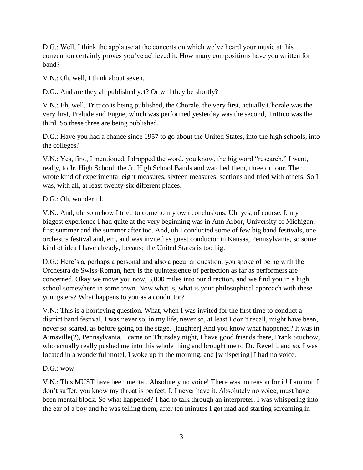D.G.: Well, I think the applause at the concerts on which we've heard your music at this convention certainly proves you've achieved it. How many compositions have you written for band?

V.N.: Oh, well, I think about seven.

D.G.: And are they all published yet? Or will they be shortly?

V.N.: Eh, well, Trittico is being published, the Chorale, the very first, actually Chorale was the very first, Prelude and Fugue, which was performed yesterday was the second, Trittico was the third. So these three are being published.

D.G.: Have you had a chance since 1957 to go about the United States, into the high schools, into the colleges?

V.N.: Yes, first, I mentioned, I dropped the word, you know, the big word "research." I went, really, to Jr. High School, the Jr. High School Bands and watched them, three or four. Then, wrote kind of experimental eight measures, sixteen measures, sections and tried with others. So I was, with all, at least twenty-six different places.

#### D.G.: Oh, wonderful.

V.N.: And, uh, somehow I tried to come to my own conclusions. Uh, yes, of course, I, my biggest experience I had quite at the very beginning was in Ann Arbor, University of Michigan, first summer and the summer after too. And, uh I conducted some of few big band festivals, one orchestra festival and, em, and was invited as guest conductor in Kansas, Pennsylvania, so some kind of idea I have already, because the United States is too big.

D.G.: Here's a, perhaps a personal and also a peculiar question, you spoke of being with the Orchestra de Swiss-Roman, here is the quintessence of perfection as far as performers are concerned. Okay we move you now, 3,000 miles into our direction, and we find you in a high school somewhere in some town. Now what is, what is your philosophical approach with these youngsters? What happens to you as a conductor?

V.N.: This is a horrifying question. What, when I was invited for the first time to conduct a district band festival, I was never so, in my life, never so, at least I don't recall, might have been, never so scared, as before going on the stage. [laughter] And you know what happened? It was in Aimsville(?), Pennsylvania, I came on Thursday night, I have good friends there, Frank Stuchow, who actually really pushed me into this whole thing and brought me to Dr. Revelli, and so. I was located in a wonderful motel, I woke up in the morning, and [whispering] I had no voice.

## $D.G.:$  wow

V.N.: This MUST have been mental. Absolutely no voice! There was no reason for it! I am not, I don't suffer, you know my throat is perfect, I, I never have it. Absolutely no voice, must have been mental block. So what happened? I had to talk through an interpreter. I was whispering into the ear of a boy and he was telling them, after ten minutes I got mad and starting screaming in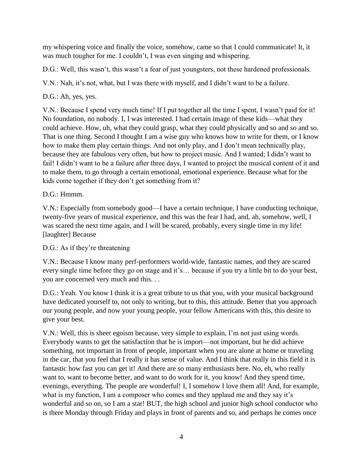my whispering voice and finally the voice, somehow, came so that I could communicate! It, it was much tougher for me. I couldn't, I was even singing and whispering.

D.G.: Well, this wasn't, this wasn't a fear of just youngsters, not these hardened professionals.

V.N.: Nah, it's not, what, but I was there with myself, and I didn't want to be a failure.

# D.G.: Ah, yes, yes.

V.N.: Because I spend very much time! If I put together all the time I spent, I wasn't paid for it! No foundation, no nobody. I, I was interested. I had certain image of these kids—what they could achieve. How, uh, what they could grasp, what they could physically and so and so and so. That is one thing. Second I thought I am a wise guy who knows how to write for them, or I know how to make them play certain things. And not only play, and I don't mean technically play, because they are fabulous very often, but how to project music. And I wanted; I didn't want to fail! I didn't want to be a failure after three days, I wanted to project the musical content of it and to make them, to go through a certain emotional, emotional experience. Because what for the kids come together if they don't get something from it?

# D.G.: Hmmm.

V.N.: Especially from somebody good—I have a certain technique, I have conducting technique, twenty-five years of musical experience, and this was the fear I had, and, ah, somehow, well, I was scared the next time again, and I will be scared, probably, every single time in my life! [laughter] Because

## D.G.: As if they're threatening

V.N.: Because I know many perf-performers world-wide, fantastic names, and they are scared every single time before they go on stage and it's… because if you try a little bit to do your best, you are concerned very much and this. . .

D.G.: Yeah. You know I think it is a great tribute to us that you, with your musical background have dedicated yourself to, not only to writing, but to this, this attitude. Better that you approach our young people, and now your young people, your fellow Americans with this, this desire to give your best.

V.N.: Well, this is sheer egoism because, very simple to explain, I'm not just using words. Everybody wants to get the satisfaction that he is import—not important, but he did achieve something, not important in front of people, important when you are alone at home or traveling in the car, that you feel that I really it has sense of value. And I think that really in this field it is fantastic how fast you can get it! And there are so many enthusiasts here. No, eh, who really want to, want to become better, and want to do work for it, you know! And they spend time, evenings, everything. The people are wonderful! I, I somehow I love them all! And, for example, what is my function, I am a composer who comes and they applaud me and they say it's wonderful and so on, so I am a star! BUT, the high school and junior high school conductor who is there Monday through Friday and plays in front of parents and so, and perhaps he comes once